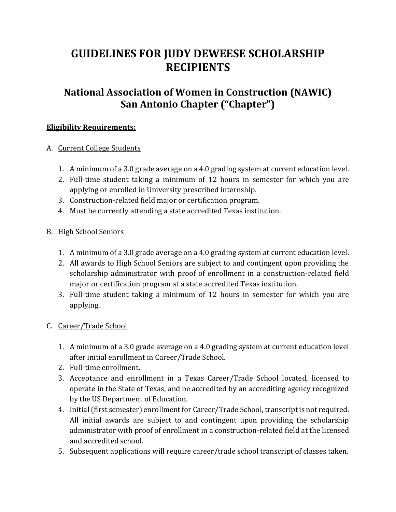# **GUIDELINES FOR JUDY DEWEESE SCHOLARSHIP RECIPIENTS**

## **National Association of Women in Construction (NAWIC) San Antonio Chapter ("Chapter")**

#### **Eligibility Requirements:**

#### A. Current College Students

- 1. A minimum of a 3.0 grade average on a 4.0 grading system at current education level.
- 2. Full-time student taking a minimum of 12 hours in semester for which you are applying or enrolled in University prescribed internship.
- 3. Construction-related field major or certification program.
- 4. Must be currently attending a state accredited Texas institution.

#### B. High School Seniors

- 1. A minimum of a 3.0 grade average on a 4.0 grading system at current education level.
- 2. All awards to High School Seniors are subject to and contingent upon providing the scholarship administrator with proof of enrollment in a construction-related field major or certification program at a state accredited Texas institution.
- 3. Full-time student taking a minimum of 12 hours in semester for which you are applying.
- C. Career/Trade School
	- 1. A minimum of a 3.0 grade average on a 4.0 grading system at current education level after initial enrollment in Career/Trade School.
	- 2. Full-time enrollment.
	- 3. Acceptance and enrollment in a Texas Career/Trade School located, licensed to operate in the State of Texas, and be accredited by an accrediting agency recognized by the US Department of Education.
	- 4. Initial (first semester) enrollment for Career/Trade School, transcript is not required. All initial awards are subject to and contingent upon providing the scholarship administrator with proof of enrollment in a construction-related field at the licensed and accredited school.
	- 5. Subsequent applications will require career/trade school transcript of classes taken.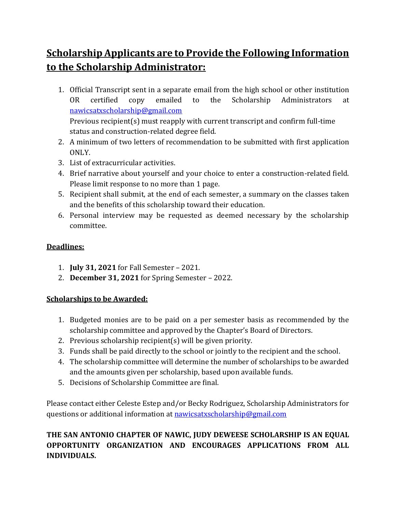## **Scholarship Applicants are to Provide the Following Information to the Scholarship Administrator:**

- 1. Official Transcript sent in a separate email from the high school or other institution OR certified copy emailed to the Scholarship Administrators at [nawicsatxscholarship@gmail.com](mailto:nawicsatxscholarship@gmail.com) Previous recipient(s) must reapply with current transcript and confirm full-time status and construction-related degree field.
- 2. A minimum of two letters of recommendation to be submitted with first application ONLY.
- 3. List of extracurricular activities.
- 4. Brief narrative about yourself and your choice to enter a construction-related field. Please limit response to no more than 1 page.
- 5. Recipient shall submit, at the end of each semester, a summary on the classes taken and the benefits of this scholarship toward their education.
- 6. Personal interview may be requested as deemed necessary by the scholarship committee.

### **Deadlines:**

- 1. **July 31, 2021** for Fall Semester 2021.
- 2. **December 31, 2021** for Spring Semester 2022.

### **Scholarships to be Awarded:**

- 1. Budgeted monies are to be paid on a per semester basis as recommended by the scholarship committee and approved by the Chapter's Board of Directors.
- 2. Previous scholarship recipient(s) will be given priority.
- 3. Funds shall be paid directly to the school or jointly to the recipient and the school.
- 4. The scholarship committee will determine the number of scholarships to be awarded and the amounts given per scholarship, based upon available funds.
- 5. Decisions of Scholarship Committee are final.

Please contact either Celeste Estep and/or Becky Rodriguez, Scholarship Administrators for questions or additional information a[t nawicsatxscholarship@gmail.com](mailto:nawicsatxscholarship@gmail.com)

## **THE SAN ANTONIO CHAPTER OF NAWIC, JUDY DEWEESE SCHOLARSHIP IS AN EQUAL OPPORTUNITY ORGANIZATION AND ENCOURAGES APPLICATIONS FROM ALL INDIVIDUALS.**